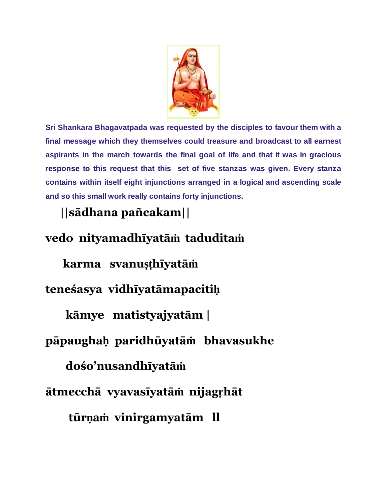

**Sri Shankara Bhagavatpada was requested by the disciples to favour them with a final message which they themselves could treasure and broadcast to all earnest aspirants in the march towards the final goal of life and that it was in gracious response to this request that this set of five stanzas was given. Every stanza contains within itself eight injunctions arranged in a logical and ascending scale and so this small work really contains forty injunctions.**

## **||sādhana pañcakam||**

## **vedo nityamadhīyatāṁ taduditaṁ**

**karma svanuṣṭhīyatāṁ**

**teneśasya vidhīyatāmapacitiḥ**

**kāmye matistyajyatām |**

## **pāpaughaḥ paridhūyatāṁ bhavasukhe**

**dośo'nusandhīyatāṁ**

**ātmecchā vyavasīyatāṁ nijagṛhāt**

**tūrṇaṁ vinirgamyatām ll**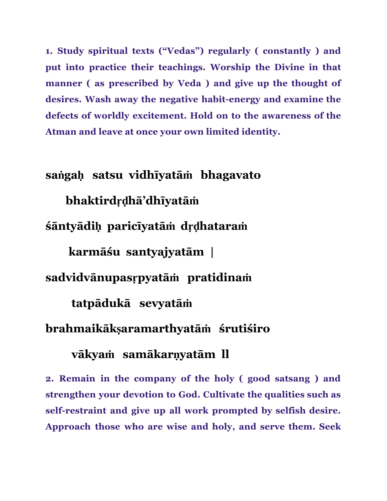**1. Study spiritual texts ("Vedas") regularly ( constantly ) and put into practice their teachings. Worship the Divine in that manner ( as prescribed by Veda ) and give up the thought of desires.** Wash away the negative habit-energy and examine the **defects of worldly excitement. Hold on to the awareness of the Atman and leave at once your own limited identity.**

**saṅgaḥ satsu vidhīyatāṁ bhagavato bhaktirdṛḍhā'dhīyatāṁ śāntyādiḥ paricīyatāṁ dṛḍhataraṁ karmāśu santyajyatām | sadvidvānupasṛpyatāṁ pratidinaṁ tatpādukā sevyatāṁ brahmaikākṣaramarthyatāṁ śrutiśiro**

## **vākyaṁ samākarṇyatām ll**

**2. Remain in the company of the holy ( good satsang ) and strengthen your devotion to God. Cultivate the qualities such as selfrestraint and give up all work prompted by selfish desire. Approach those who are wise and holy, and serve them. Seek**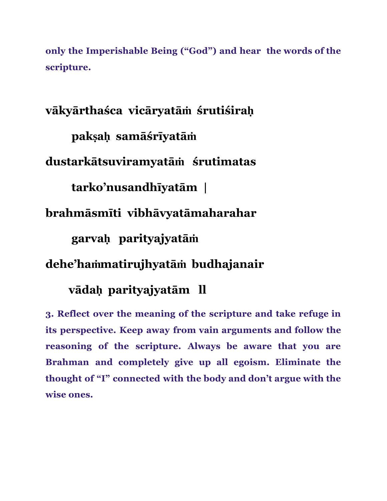**only the Imperishable Being ("God") and hear the words of the scripture.**

**vākyārthaśca vicāryatāṁ śrutiśiraḥ pakṣaḥ samāśrīyatāṁ dustarkātsuviramyatāṁ śrutimatas tarko'nusandhīyatām | brahmāsmīti vibhāvyatāmaharahar garvaḥ parityajyatāṁ**

**dehe'haṁmatirujhyatāṁ budhajanair**

**vādaḥ parityajyatām ll**

**3. Reflect over the meaning of the scripture and take refuge in its perspective. Keep away from vain arguments and follow the reasoning of the scripture. Always be aware that you are Brahman and completely give up all egoism. Eliminate the thought of "I" connected with the body and don't argue with the wise ones.**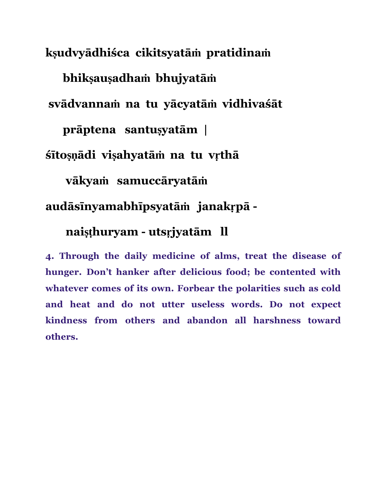**kṣudvyādhiśca cikitsyatāṁ pratidinaṁ bhikṣauṣadhaṁ bhujyatāṁ svādvannaṁ na tu yācyatāṁ vidhivaśāt prāptena santuṣyatām | śītoṣṇādi viṣahyatāṁ na tu vṛthā vākyaṁ samuccāryatāṁ**

**audāsīnyamabhīpsyatāṁ janakṛpā**

**naiṣṭhuryam utsṛjyatām ll**

**4. Through the daily medicine of alms, treat the disease of hunger. Don't hanker after delicious food; be contented with whatever comes of its own. Forbear the polarities such as cold and heat and do not utter useless words. Do not expect kindness from others and abandon all harshness toward others.**